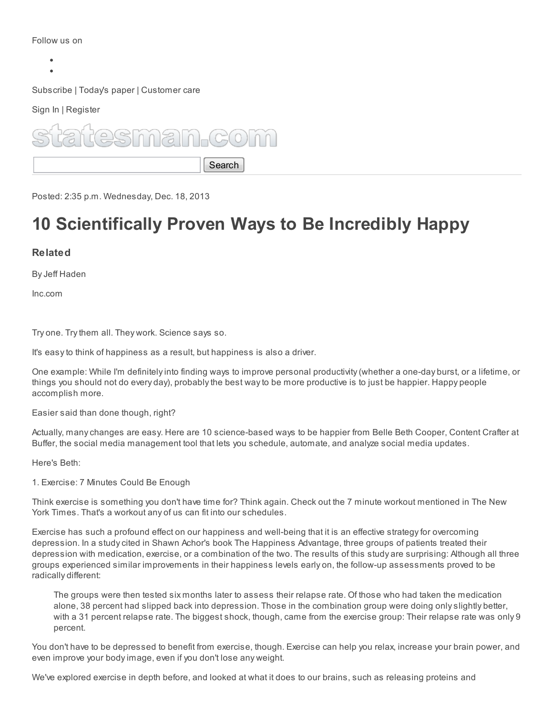[Subscribe](https://myaccount.statesman.com/dsssubscribe.aspx?icid=statesman_internallink_statesmansubscribetopright_oct2013_alloffers) | [Today's](https://myaccount.statesman.com/access.aspx) paper | [Customer](https://myaccount.statesman.com/) care

### Sign In | Register



Posted: 2:35 p.m. Wednesday, Dec. 18, 2013

# 10 Scientifically Proven Ways to Be Incredibly Happy

### Related

By Jeff Haden

[Inc.com](http://feeds.inc.com/~r/home/updates/~3/Vf0fdeTpu7E/story01.htm)

Try one. Try them all. They work. Science says so.

It's easy to think of happiness as a result, but happiness is also a driver.

One example: While I'm definitely into finding ways to improve personal productivity (whether a one-day burst, or a [lifetime](http://www.inc.com/jeff-haden/7-qualities-of-uber-productive-people.html), or things you [should](http://www.inc.com/jeff-haden/8-things-you-should-not-do-every-day.html) not do every day), probably the best way to be more productive is to just be happier. Happy people accomplish more.

Easier said than done though, right?

Actually, many changes are easy. Here are 10 science-based ways to be happier from Belle Beth Cooper, Content Crafter at [Buffer](http://www.bufferapp.com/), the social media management tool that lets you schedule, automate, and analyze social media updates.

Here's Beth:

1. Exercise: 7 Minutes Could Be Enough

Think exercise is something you don't have time for? Think again. Check out the 7 minute [workout](http://blog.bufferapp.com/why-exercising-makes-us-happier) mentioned in The New York Times. That's a workout any of us can fit into our schedules.

Exercise has such a profound effect on our happiness and well-being that it is an effective strategy for overcoming depression. In a study cited in Shawn Achor's book The [Happiness](http://www.amazon.com/gp/product/0307591549/ref=as_li_ss_tl?ie=UTF8&tag=spacforrent-20&linkCode=as2&camp=1789&creative=390957&creativeASIN=0307591549) Advantage, three groups of patients treated their depression with medication, exercise, or a combination of the two. The results of this study are surprising: Although all three groups experienced similar improvements in their happiness levels early on, the follow-up assessments proved to be radically different:

The groups were then tested six months later to assess their relapse rate. Of those who had taken the medication alone, 38 percent had slipped back into depression. Those in the combination group were doing only slightly better, with a 31 percent relapse rate. The biggest shock, though, came from the exercise group: Their relapse rate was only 9 percent.

You don't have to be depressed to benefit from exercise, though. Exercise can help you relax, increase your brain power, and even improve your body image, even if you don't lose any weight.

We've explored [exercise](http://blog.bufferapp.com/why-exercising-makes-us-happier) in depth before, and looked at what it does to our brains, such as releasing proteins and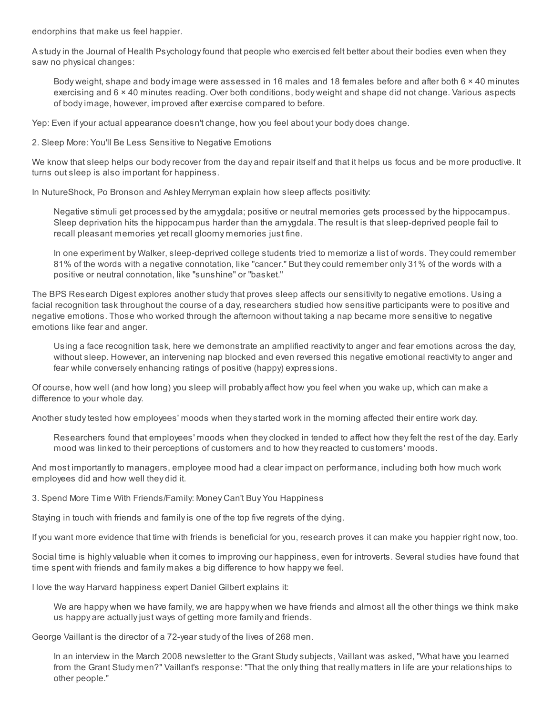endorphins that make us feel happier.

A study in the Journal of Health [Psychology](http://www.bakadesuyo.com/2012/03/how-can-you-feel-better-about-your-body/#ixzz2b2yfplh7) found that people who exercised felt better about their bodies even when they saw no physical changes:

Body weight, shape and body image were assessed in 16 males and 18 females before and after both 6 × 40 minutes exercising and 6 × 40 minutes reading. Over both conditions, body weight and shape did not change. Various aspects of body image, however, improved after exercise compared to before.

Yep: Even if your actual appearance doesn't change, how you feel about your body does change.

2. Sleep More: You'll Be Less Sensitive to Negative Emotions

We know that sleep helps our body [recover](http://blog.bufferapp.com/how-much-sleep-do-we-really-need-to-work-productively) from the day and repair itself and that it helps us focus and be more productive. It turns out sleep is also important for happiness.

In [NutureShock,](http://www.amazon.com/gp/product/B0054U5ENY/ref=as_li_ss_tl?ie=UTF8&camp=1789&creative=390957&creativeASIN=B0054U5ENY&linkCode=as2&tag=spacforrent-20) Po Bronson and Ashley Merryman explain how sleep affects positivity:

Negative stimuli get processed by the amygdala; positive or neutral memories gets processed by the hippocampus. Sleep deprivation hits the hippocampus harder than the amygdala. The result is that sleep-deprived people fail to recall pleasant memories yet recall gloomy memories just fine.

In one experiment by Walker, sleep-deprived college students tried to memorize a list of words. They could remember 81% of the words with a negative connotation, like "cancer." But they could remember only 31% of the words with a positive or neutral connotation, like "sunshine" or "basket."

The BPS Research Digest explores [another](http://bps-research-digest.blogspot.com.au/2011/03/afternoon-nap-tunes-out-negative.html) study that proves sleep affects our sensitivity to negative emotions. Using a facial recognition task throughout the course of a day, researchers studied how sensitive participants were to positive and negative emotions. Those who worked through the afternoon without taking a nap became more sensitive to negative emotions like fear and anger.

Using a face recognition task, here we demonstrate an amplified reactivity to anger and fear emotions across the day, without sleep. However, an intervening nap blocked and even reversed this negative emotional reactivity to anger and fear while conversely enhancing ratings of positive (happy) expressions.

Of course, how well (and how long) you sleep will probably affect how you feel when you wake up, which can make a difference to your whole day.

[Another](http://www.eurekalert.org/pub_releases/2011-04/osu-guo040411.php) study tested how employees' moods when they started work in the morning affected their entire work day.

Researchers found that employees' moods when they clocked in tended to affect how they felt the rest of the day. Early mood was linked to their perceptions of customers and to how they reacted to customers' moods.

And most importantly to managers, employee mood had a clear impact on performance, including both how much work employees did and how well they did it.

3. Spend More Time With Friends/Family: Money Can't Buy You Happiness

Staying in touch with friends and family is one of the top five [regrets](http://www.theguardian.com/lifeandstyle/2012/feb/01/top-five-regrets-of-the-dying) of the dying.

If you want more evidence that time with friends is beneficial for you, research proves it can make you happier right now, too.

Social time is highly valuable when it comes to improving our happiness, even for introverts. Several studies have found that time spent with friends and family makes a big difference to how happy we feel.

I love the way Harvard [happiness](http://bigthink.com/users/dangilbert#%21video_idea_id=5143) expert Daniel Gilbert explains it:

We are happy when we have family, we are happy when we have friends and almost all the other things we think make us happy are actually just ways of getting more family and friends.

George Vaillant is the director of a 72-year study of the lives of 268 men.

In an interview in the March 2008 newsletter to the Grant Study subjects, Vaillant was asked, "What have you learned from the Grant Study men?" Vaillant's response: "That the only thing that really matters in life are your relationships to other people."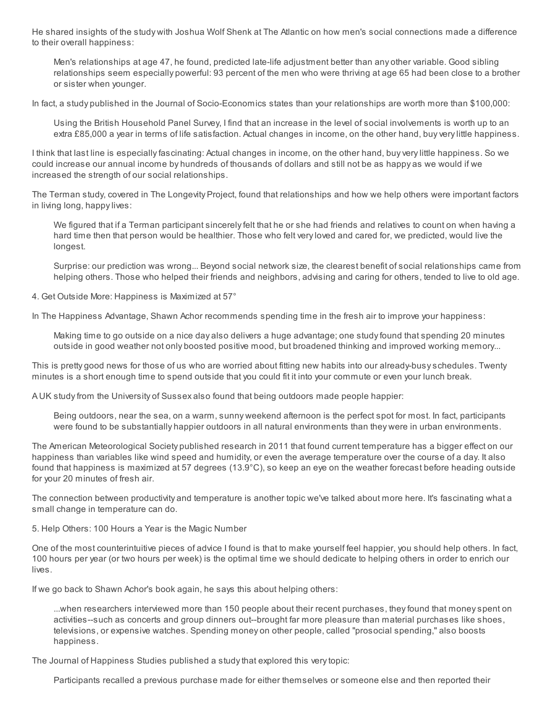He shared insights of the study with Joshua Wolf Shenk at The [Atlantic](http://www.theatlantic.com/magazine/archive/2009/06/what-makes-us-happy/307439/2/?single_page=true) on how men's social connections made a difference to their overall happiness:

Men's relationships at age 47, he found, predicted late-life adjustment better than any other variable. Good sibling relationships seem especially powerful: 93 percent of the men who were thriving at age 65 had been close to a brother or sister when younger.

In fact, a study published in the Journal of [Socio-Economics](http://www.bakadesuyo.com/2012/01/what-are-your-relationships-worth-in-dollars/#ixzz2b33s2ANx) states than your relationships are worth more than \$100,000:

Using the British Household Panel Survey, I find that an increase in the level of social involvements is worth up to an extra £85,000 a year in terms of life satisfaction. Actual changes in income, on the other hand, buy very little happiness.

I think that last line is especially fascinating: Actual changes in income, on the other hand, buy very little happiness. So we could increase our annual income by hundreds of thousands of dollars and still not be as happy as we would if we increased the strength of our social relationships.

The Terman study, covered in The [Longevity](http://www.amazon.com/gp/product/0452297702/ref=as_li_ss_tl?ie=UTF8&tag=spacforrent-20&linkCode=as2&camp=1789&creative=390957&creativeASIN=0452297702) Project, found that relationships and how we help others were important factors in living long, happy lives:

We figured that if a Terman participant sincerely felt that he or she had friends and relatives to count on when having a hard time then that person would be healthier. Those who felt very loved and cared for, we predicted, would live the longest.

Surprise: our prediction was wrong... Beyond social network size, the clearest benefit of social relationships came from helping others. Those who helped their friends and neighbors, advising and caring for others, tended to live to old age.

4. Get Outside More: Happiness is Maximized at 57°

In The [Happiness](http://www.amazon.com/gp/product/0307591549/ref=as_li_ss_tl?ie=UTF8&tag=spacforrent-20&linkCode=as2&camp=1789&creative=390957&creativeASIN=0307591549) Advantage, Shawn Achor recommends spending time in the fresh air to improve your happiness:

Making time to go outside on a nice day also delivers a huge advantage; one study found that spending 20 minutes outside in good weather not only boosted positive mood, but broadened thinking and improved working memory...

This is pretty good news for those of us who are worried about fitting new habits into our already-busy schedules. Twenty minutes is a short enough time to spend outside that you could fit it into your commute or even your lunch break.

A UK study from the [University](http://www.thejournal.ie/sea-sun-happiness-study-973774-Jul2013/) of Sussex also found that being outdoors made people happier:

Being outdoors, near the sea, on a warm, sunny weekend afternoon is the perfect spot for most. In fact, participants were found to be substantially happier outdoors in all natural environments than they were in urban environments.

The American [Meteorological](http://journals.ametsoc.org/doi/abs/10.1175/WCAS-D-11-00052.1?journalCode=wcas) Society published research in 2011 that found current temperature has a bigger effect on our happiness than variables like wind speed and humidity, or even the average temperature over the course of a day. It also found that happiness is maximized at 57 degrees (13.9°C), so keep an eye on the weather forecast before heading outside for your 20 minutes of fresh air.

The connection between productivity and [temperature](http://blog.bufferapp.com/the-science-of-how-room-temperature-and-lighting-affects-our-productivity) is another topic we've talked about more here. It's fascinating what a small change in temperature can do.

5. Help Others: 100 Hours a Year is the Magic Number

One of the most counterintuitive pieces of advice I found is that to make yourself feel happier, you should help others. In fact, 100 hours per year (or two hours per week) is the optimal time we should [dedicate](http://blog.bufferapp.com/simple-productivity-tips-science) to helping others in order to enrich our lives.

If we go back to Shawn Achor's book again, he says this about helping others:

...when researchers interviewed more than 150 people about their recent purchases, they found that money spent on activities--such as concerts and group dinners out--brought far more pleasure than material purchases like shoes, televisions, or expensive watches. Spending money on other people, called "prosocial spending," also boosts happiness.

The Journal of Happiness Studies [published](http://www.bakadesuyo.com/2011/04/is-there-a-way-to-create-a-positive-feedback/#ixzz2b2m2LMBe) a study that explored this very topic:

Participants recalled a previous purchase made for either themselves or someone else and then reported their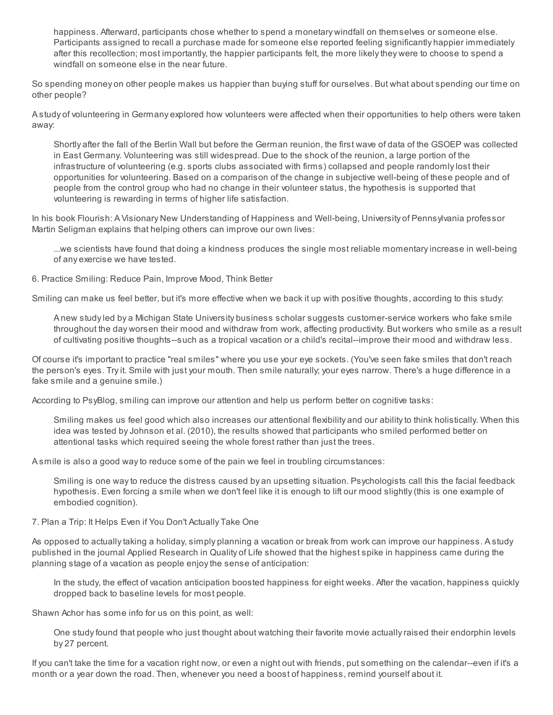happiness. Afterward, participants chose whether to spend a monetary windfall on themselves or someone else. Participants assigned to recall a purchase made for someone else reported feeling significantly happier immediately after this recollection; most importantly, the happier participants felt, the more likely they were to choose to spend a windfall on someone else in the near future.

So spending money on other people makes us happier than buying stuff for ourselves. But what about spending our time on other people?

A study of [volunteering](http://www.bakadesuyo.com/2011/11/is-being-selfless-the-smartest-way-to-be-self/#ixzz2b2lnKKci) in Germany explored how volunteers were affected when their opportunities to help others were taken away:

Shortly after the fall of the Berlin Wall but before the German reunion, the first wave of data of the GSOEP was collected in East Germany. Volunteering was still widespread. Due to the shock of the reunion, a large portion of the infrastructure of volunteering (e.g. sports clubs associated with firms) collapsed and people randomly lost their opportunities for volunteering. Based on a comparison of the change in subjective well-being of these people and of people from the control group who had no change in their volunteer status, the hypothesis is supported that volunteering is rewarding in terms of higher life satisfaction.

In his book Flourish: A Visionary New [Understanding](http://www.amazon.com/gp/product/1439190763/ref=as_li_ss_tl?ie=UTF8&tag=spacforrent-20&linkCode=as2&camp=1789&creative=390957&creativeASIN=1439190763) of Happiness and Well-being, University of Pennsylvania professor Martin Seligman explains that helping others can improve our own lives:

...we scientists have found that doing a kindness produces the single most reliable momentary increase in well-being of any exercise we have tested.

6. Practice Smiling: Reduce Pain, Improve Mood, Think Better

Smiling can make us feel better, but it's more effective when we back it up with positive thoughts, according to this [study](http://www.eurekalert.org/pub_releases/2011-02/msu-sfa022211.php):

A new study led by a Michigan State University business scholar suggests customer-service workers who fake smile throughout the day worsen their mood and withdraw from work, affecting productivity. But workers who smile as a result of cultivating positive thoughts--such as a tropical vacation or a child's recital--improve their mood and withdraw less.

Of course it's important to [practice](http://blog.bufferapp.com/the-science-of-smiling-a-guide-to-humans-most-powerful-gesture) "real smiles" where you use your eye sockets. (You've seen fake smiles that don't reach the person's eyes. Try it. Smile with just your mouth. Then smile naturally; your eyes narrow. There's a huge difference in a fake smile and a genuine smile.)

According to [PsyBlog,](http://www.spring.org.uk/2011/06/10-hidden-benefits-of-smiling.php) [smiling](http://blog.bufferapp.com/the-science-of-smiling-a-guide-to-humans-most-powerful-gesture) can improve our attention and help us perform better on cognitive tasks:

Smiling makes us feel good which also increases our attentional flexibility and our ability to think holistically. When this idea was tested by Johnson et al. (2010), the results showed that participants who smiled performed better on attentional tasks which required seeing the whole forest rather than just the trees.

A smile is also a good way to reduce some of the pain we feel in troubling circumstances:

Smiling is one way to reduce the distress caused by an upsetting situation. Psychologists call this the facial feedback hypothesis. Even forcing a smile when we don't feel like it is enough to lift our mood slightly (this is one example of embodied cognition).

## 7. Plan a Trip: It Helps Even if You Don't Actually Take One

As opposed to actually taking a holiday, simply planning a vacation or break from work can improve our happiness. A study published in the journal Applied [Research](http://well.blogs.nytimes.com/2010/02/18/how-vacations-affect-your-happiness/?_r=0) in Quality of Life showed that the highest spike in happiness came during the planning stage of a vacation as people enjoy the sense of anticipation:

In the study, the effect of vacation anticipation boosted happiness for eight weeks. After the vacation, happiness quickly dropped back to baseline levels for most people.

Shawn Achor has some info for us on this point, as well:

One study found that people who just thought about watching their favorite movie actually raised their endorphin levels by 27 percent.

If you can't take the time for a vacation right now, or even a night out with friends, put something on the calendar--even if it's a month or a year down the road. Then, whenever you need a boost of happiness, remind yourself about it.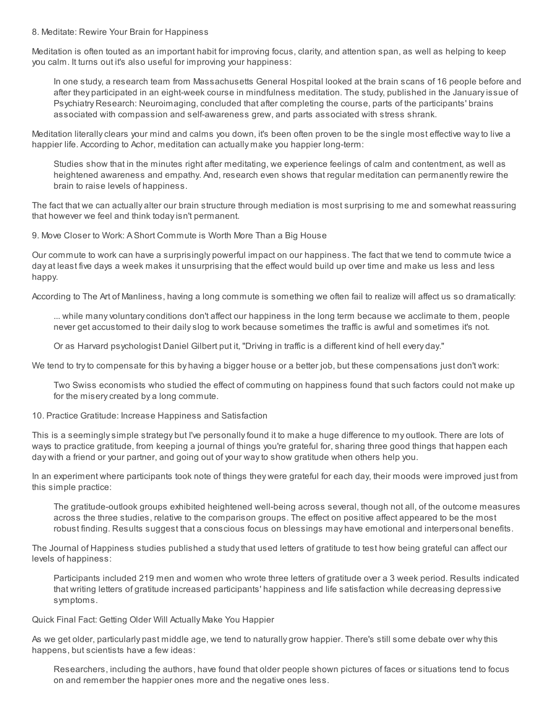#### 8. Meditate: Rewire Your Brain for Happiness

Meditation is often touted as an important habit for improving focus, clarity, and attention span, as well as helping to keep you calm. It turns out it's also useful for improving your [happiness:](http://blog.bufferapp.com/how-to-rewire-your-brains-for-positivity-and-happiness)

In one study, a research team from Massachusetts General Hospital looked at the brain scans of 16 people before and after they participated in an eight-week course in mindfulness meditation. The study, published in the January issue of Psychiatry Research: Neuroimaging, concluded that after completing the course, parts of the participants' brains associated with compassion and self-awareness grew, and parts associated with stress shrank.

Meditation literally clears your mind and calms you down, it's been often proven to be the single most effective way to live a happier life. According to Achor, meditation can actually make you happier long-term:

Studies show that in the minutes right after meditating, we experience feelings of calm and contentment, as well as heightened awareness and empathy. And, research even shows that regular meditation can permanently rewire the brain to raise levels of happiness.

The fact that we can actually alter our brain structure through mediation is most surprising to me and somewhat reassuring that however we feel and think today isn't permanent.

9. Move Closer to Work: A Short Commute is Worth More Than a Big House

Our commute to work can have a surprisingly powerful impact on our happiness. The fact that we tend to commute twice a day at least five days a week makes it unsurprising that the effect would build up over time and make us less and less happy.

According to The Art of [Manliness](http://www.artofmanliness.com/2010/09/27/where-is-the-grass-greener-the-economics-of-happiness/), having a long commute is something we often fail to realize will affect us so dramatically:

... while many voluntary conditions don't affect our happiness in the long term because we acclimate to them, people never get accustomed to their daily slog to work because sometimes the traffic is awful and sometimes it's not.

Or as Harvard psychologist Daniel Gilbert put it, "Driving in traffic is a different kind of hell every day."

We tend to try to compensate for this by having a bigger house or a better job, but these compensations just don't work:

Two Swiss economists who studied the effect of commuting on happiness found that such factors could not make up for the misery created by a long commute.

10. Practice Gratitude: Increase Happiness and Satisfaction

This is a seemingly simple strategy but I've personally found it to make a huge difference to my outlook. There are lots of ways to practice [gratitude,](http://blog.bufferapp.com/how-to-rewire-your-brains-for-positivity-and-happiness) from keeping a journal of things you're grateful for, sharing three good things that happen each day with a friend or your partner, and going out of your way to show gratitude when others help you.

In an [experiment](http://www.bakadesuyo.com/2011/08/was-grandmom-right-about-counting-your-blessi/#ixzz2an4gw6vR) where participants took note of things they were grateful for each day, their moods were improved just from this simple practice:

The gratitude-outlook groups exhibited heightened well-being across several, though not all, of the outcome measures across the three studies, relative to the comparison groups. The effect on positive affect appeared to be the most robust finding. Results suggest that a conscious focus on blessings may have emotional and interpersonal benefits.

The Journal of Happiness studies [published](http://www.bakadesuyo.com/2011/04/how-to-quickly-and-easiy-feel-happier-and-mor/#ixzz2b36XGs00) a study that used letters of gratitude to test how being grateful can affect our levels of happiness:

Participants included 219 men and women who wrote three letters of gratitude over a 3 week period. Results indicated that writing letters of gratitude increased participants' happiness and life satisfaction while decreasing depressive symptoms.

Quick Final Fact: Getting Older Will Actually Make You Happier

As we get older, particularly past middle age, we tend to naturally grow [happier](http://www.sciencedaily.com/releases/2012/01/120106135950.htm). There's still some debate over why this happens, but scientists have a few ideas:

Researchers, including the authors, have found that older people shown pictures of faces or situations tend to focus on and remember the happier ones more and the negative ones less.